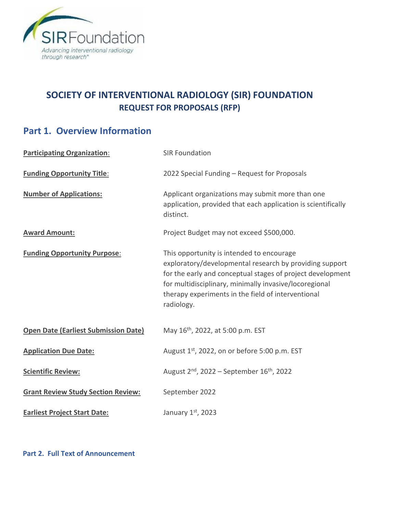

# **SOCIETY OF INTERVENTIONAL RADIOLOGY (SIR) FOUNDATION REQUEST FOR PROPOSALS (RFP)**

# **Part 1. Overview Information**

| <b>Participating Organization:</b>          | <b>SIR Foundation</b>                                                                                                                                                                                                                                                                            |
|---------------------------------------------|--------------------------------------------------------------------------------------------------------------------------------------------------------------------------------------------------------------------------------------------------------------------------------------------------|
| <b>Funding Opportunity Title:</b>           | 2022 Special Funding - Request for Proposals                                                                                                                                                                                                                                                     |
| <b>Number of Applications:</b>              | Applicant organizations may submit more than one<br>application, provided that each application is scientifically<br>distinct.                                                                                                                                                                   |
| <b>Award Amount:</b>                        | Project Budget may not exceed \$500,000.                                                                                                                                                                                                                                                         |
| <b>Funding Opportunity Purpose:</b>         | This opportunity is intended to encourage<br>exploratory/developmental research by providing support<br>for the early and conceptual stages of project development<br>for multidisciplinary, minimally invasive/locoregional<br>therapy experiments in the field of interventional<br>radiology. |
| <b>Open Date (Earliest Submission Date)</b> | May 16 <sup>th</sup> , 2022, at 5:00 p.m. EST                                                                                                                                                                                                                                                    |
| <b>Application Due Date:</b>                | August 1 <sup>st</sup> , 2022, on or before 5:00 p.m. EST                                                                                                                                                                                                                                        |
| <b>Scientific Review:</b>                   | August $2^{nd}$ , 2022 – September 16 <sup>th</sup> , 2022                                                                                                                                                                                                                                       |
| <b>Grant Review Study Section Review:</b>   | September 2022                                                                                                                                                                                                                                                                                   |
| <b>Earliest Project Start Date:</b>         | January 1st, 2023                                                                                                                                                                                                                                                                                |

**Part 2. Full Text of Announcement**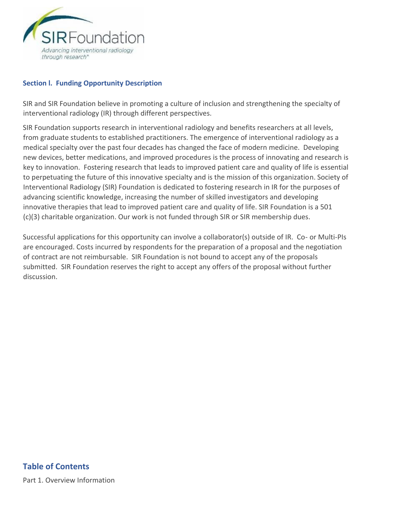

#### **Section l. Funding Opportunity Description**

SIR and SIR Foundation believe in promoting a culture of inclusion and strengthening the specialty of interventional radiology (IR) through different perspectives.

SIR Foundation supports research in interventional radiology and benefits researchers at all levels, from graduate students to established practitioners. The emergence of interventional radiology as a medical specialty over the past four decades has changed the face of modern medicine. Developing new devices, better medications, and improved procedures is the process of innovating and research is key to innovation. Fostering research that leads to improved patient care and quality of life is essential to perpetuating the future of this innovative specialty and is the mission of this organization. Society of Interventional Radiology (SIR) Foundation is dedicated to fostering research in IR for the purposes of advancing scientific knowledge, increasing the number of skilled investigators and developing innovative therapies that lead to improved patient care and quality of life. SIR Foundation is a 501 (c)(3) charitable organization. Our work is not funded through SIR or SIR membership dues.

Successful applications for this opportunity can involve a collaborator(s) outside of IR. Co- or Multi-PIs are encouraged. Costs incurred by respondents for the preparation of a proposal and the negotiation of contract are not reimbursable. SIR Foundation is not bound to accept any of the proposals submitted. SIR Foundation reserves the right to accept any offers of the proposal without further discussion.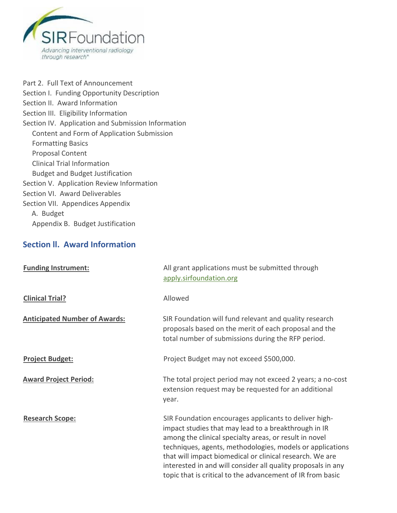

[Part 2. Full Text of Announcement](https://grants.nih.gov/grants/guide/pa-files/PA-20-195.html#_Part_2._Full)  [Section I. Funding Opportunity Description](https://grants.nih.gov/grants/guide/pa-files/PA-20-195.html#_Section_I._Funding)  [Section II. Award Information](https://grants.nih.gov/grants/guide/pa-files/PA-20-195.html#_Section_II._Award_1)  [Section III. Eligibility Information](https://grants.nih.gov/grants/guide/pa-files/PA-20-195.html#_Section_III._Eligibility)  [Section IV. Application and Submission Information](https://grants.nih.gov/grants/guide/pa-files/PA-20-195.html#_Section_IV._Application_1)  Content and Form of Application Submission Formatting Basics Proposal Content Clinical Trial Information Budget and Budget Justification [Section V. Application Review Information](https://grants.nih.gov/grants/guide/pa-files/PA-20-195.html#_Section_V._Application)  Section VI. Award Deliverables Section VII. Appendices Appendix A. Budget Appendix B. Budget Justification

### **Section ll. Award Information**

| <b>Funding Instrument:</b>           | All grant applications must be submitted through<br>apply.sirfoundation.org                                                                                                                                                                                                                                                                                                                                                    |
|--------------------------------------|--------------------------------------------------------------------------------------------------------------------------------------------------------------------------------------------------------------------------------------------------------------------------------------------------------------------------------------------------------------------------------------------------------------------------------|
| <b>Clinical Trial?</b>               | Allowed                                                                                                                                                                                                                                                                                                                                                                                                                        |
| <b>Anticipated Number of Awards:</b> | SIR Foundation will fund relevant and quality research<br>proposals based on the merit of each proposal and the<br>total number of submissions during the RFP period.                                                                                                                                                                                                                                                          |
| <b>Project Budget:</b>               | Project Budget may not exceed \$500,000.                                                                                                                                                                                                                                                                                                                                                                                       |
| <b>Award Project Period:</b>         | The total project period may not exceed 2 years; a no-cost<br>extension request may be requested for an additional<br>year.                                                                                                                                                                                                                                                                                                    |
| <b>Research Scope:</b>               | SIR Foundation encourages applicants to deliver high-<br>impact studies that may lead to a breakthrough in IR<br>among the clinical specialty areas, or result in novel<br>techniques, agents, methodologies, models or applications<br>that will impact biomedical or clinical research. We are<br>interested in and will consider all quality proposals in any<br>topic that is critical to the advancement of IR from basic |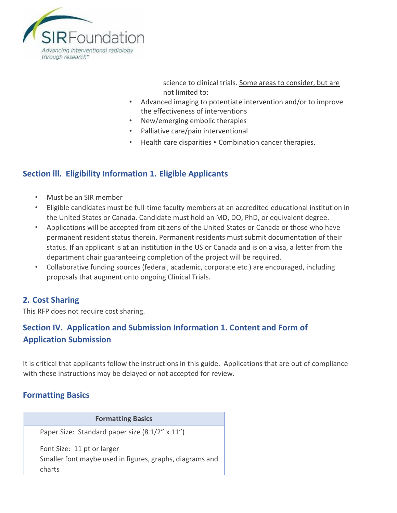

science to clinical trials. Some areas to consider, but are not limited to:

- Advanced imaging to potentiate intervention and/or to improve the effectiveness of interventions
- New/emerging embolic therapies
- Palliative care/pain interventional
- Health care disparities Combination cancer therapies.

## **Section lll. Eligibility Information 1. Eligible Applicants**

- Must be an SIR member
- Eligible candidates must be full-time faculty members at an accredited educational institution in the United States or Canada. Candidate must hold an MD, DO, PhD, or equivalent degree.
- Applications will be accepted from citizens of the United States or Canada or those who have permanent resident status therein. Permanent residents must submit documentation of their status. If an applicant is at an institution in the US or Canada and is on a visa, a letter from the department chair guaranteeing completion of the project will be required.
- Collaborative funding sources (federal, academic, corporate etc.) are encouraged, including proposals that augment onto ongoing Clinical Trials.

### **2. Cost Sharing**

This RFP does not require cost sharing.

# **Section IV. Application and Submission Information 1. Content and Form of Application Submission**

It is critical that applicants follow the instructions in this guide. Applications that are out of compliance with these instructions may be delayed or not accepted for review.

### **Formatting Basics**

| <b>Formatting Basics</b>                                                                         |
|--------------------------------------------------------------------------------------------------|
| Paper Size: Standard paper size (8 1/2" x 11")                                                   |
| Font Size: 11 pt or larger<br>Smaller font maybe used in figures, graphs, diagrams and<br>charts |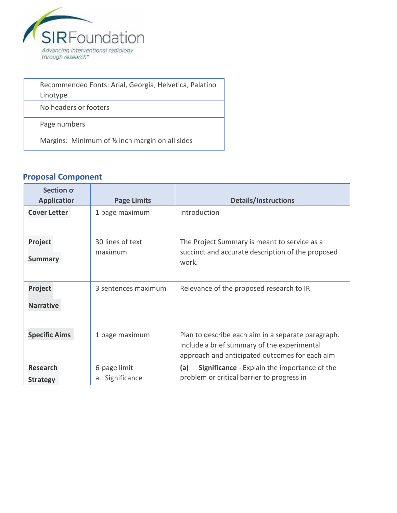

| Recommended Fonts: Arial, Georgia, Helvetica, Palatino |
|--------------------------------------------------------|
| Linotype                                               |
| No headers or footers                                  |
| Page numbers                                           |
| Margins: Minimum of 1/2 inch margin on all sides       |

# **Proposal Component**

| Section of<br><b>Page Limits</b><br><b>Applicatior</b>   |                                 | <b>Details/Instructions</b>                                                                                                                         |  |
|----------------------------------------------------------|---------------------------------|-----------------------------------------------------------------------------------------------------------------------------------------------------|--|
| <b>Cover Letter</b><br>1 page maximum                    |                                 | Introduction                                                                                                                                        |  |
| 30 lines of text<br>Project<br>maximum<br><b>Summary</b> |                                 | The Project Summary is meant to service as a<br>succinct and accurate description of the proposed<br>work.                                          |  |
| Project<br>3 sentences maximum<br><b>Narrative</b>       |                                 | Relevance of the proposed research to IR                                                                                                            |  |
| <b>Specific Aims</b>                                     | 1 page maximum                  | Plan to describe each aim in a separate paragraph.<br>Include a brief summary of the experimental<br>approach and anticipated outcomes for each aim |  |
| <b>Research</b><br><b>Strategy</b>                       | 6-page limit<br>a. Significance | <b>Significance</b> - Explain the importance of the<br>(a)<br>problem or critical barrier to progress in                                            |  |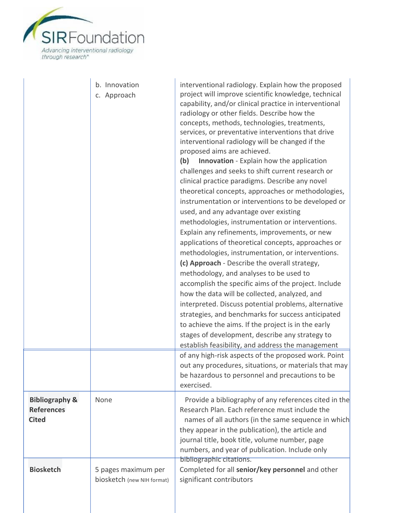

ź

|                                                                | b. Innovation<br>c. Approach                      | interventional radiology. Explain how the proposed<br>project will improve scientific knowledge, technical<br>capability, and/or clinical practice in interventional<br>radiology or other fields. Describe how the<br>concepts, methods, technologies, treatments,<br>services, or preventative interventions that drive<br>interventional radiology will be changed if the<br>proposed aims are achieved.<br><b>Innovation</b> - Explain how the application<br>(b)<br>challenges and seeks to shift current research or<br>clinical practice paradigms. Describe any novel<br>theoretical concepts, approaches or methodologies,<br>instrumentation or interventions to be developed or<br>used, and any advantage over existing<br>methodologies, instrumentation or interventions.<br>Explain any refinements, improvements, or new<br>applications of theoretical concepts, approaches or<br>methodologies, instrumentation, or interventions.<br>(c) Approach - Describe the overall strategy,<br>methodology, and analyses to be used to<br>accomplish the specific aims of the project. Include<br>how the data will be collected, analyzed, and<br>interpreted. Discuss potential problems, alternative<br>strategies, and benchmarks for success anticipated<br>to achieve the aims. If the project is in the early<br>stages of development, describe any strategy to<br>establish feasibility, and address the management<br>of any high-risk aspects of the proposed work. Point<br>out any procedures, situations, or materials that may<br>be hazardous to personnel and precautions to be<br>exercised. |
|----------------------------------------------------------------|---------------------------------------------------|--------------------------------------------------------------------------------------------------------------------------------------------------------------------------------------------------------------------------------------------------------------------------------------------------------------------------------------------------------------------------------------------------------------------------------------------------------------------------------------------------------------------------------------------------------------------------------------------------------------------------------------------------------------------------------------------------------------------------------------------------------------------------------------------------------------------------------------------------------------------------------------------------------------------------------------------------------------------------------------------------------------------------------------------------------------------------------------------------------------------------------------------------------------------------------------------------------------------------------------------------------------------------------------------------------------------------------------------------------------------------------------------------------------------------------------------------------------------------------------------------------------------------------------------------------------------------------------------------------------------------|
| <b>Bibliography &amp;</b><br><b>References</b><br><b>Cited</b> | None                                              | Provide a bibliography of any references cited in the<br>Research Plan. Each reference must include the<br>names of all authors (in the same sequence in which<br>they appear in the publication), the article and<br>journal title, book title, volume number, page<br>numbers, and year of publication. Include only                                                                                                                                                                                                                                                                                                                                                                                                                                                                                                                                                                                                                                                                                                                                                                                                                                                                                                                                                                                                                                                                                                                                                                                                                                                                                                   |
| <b>Biosketch</b>                                               | 5 pages maximum per<br>biosketch (new NIH format) | bibliographic citations.<br>Completed for all senior/key personnel and other<br>significant contributors                                                                                                                                                                                                                                                                                                                                                                                                                                                                                                                                                                                                                                                                                                                                                                                                                                                                                                                                                                                                                                                                                                                                                                                                                                                                                                                                                                                                                                                                                                                 |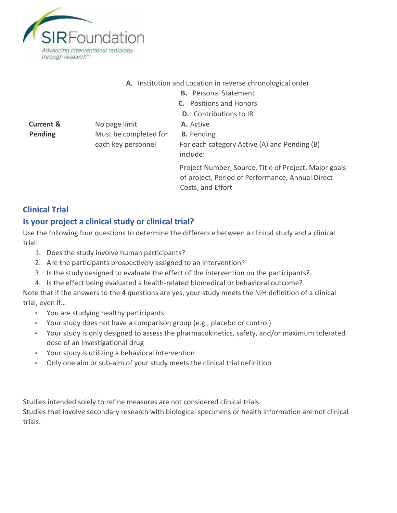

#### **A.** Institution and Location in reverse chronological order

- **B.** Personal Statement
- **C.** Positions and Honors
- **D.** Contributions to IR

**Current &**  No page limit **A.** Active **Pending Must be completed for <b>B.** Pending

each key personnel For each category Active (A) and Pending (B) include:

> Project Number, Source, Title of Project, Major goals of project, Period of Performance, Annual Direct Costs, and Effort

## **Clinical Trial**

## **Is your project a clinical study or clinical trial?**

Use the following four questions to determine the difference between a clinical study and a clinical trial:

- 1. Does the study involve human participants?
- 2. Are the participants prospectively assigned to an intervention?
- 3. Is the study designed to evaluate the effect of the intervention on the participants?
- 4. Is the effect being evaluated a health-related biomedical or behavioral outcome?

Note that if the answers to the 4 questions are yes, your study meets the NIH definition of a clinical trial, even if…

- You are studying healthy participants
- Your study does not have a comparison group (e.g., placebo or control)
- Your study is only designed to assess the pharmacokinetics, safety, and/or maximum tolerated dose of an investigational drug
- Your study is utilizing a behavioral intervention
- Only one aim or sub-aim of your study meets the clinical trial definition

Studies intended solely to refine measures are not considered clinical trials.

Studies that involve secondary research with biological specimens or health information are not clinical trials.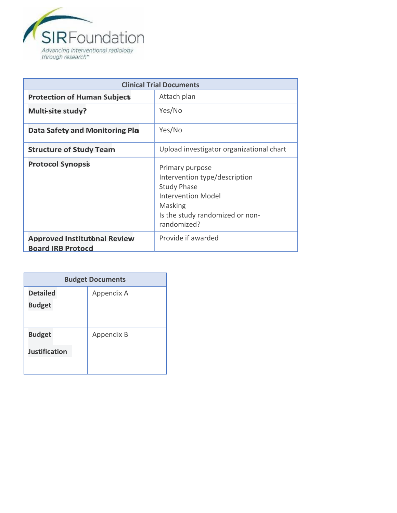

| <b>Clinical Trial Documents</b>       |                                                                                                                                                                  |  |
|---------------------------------------|------------------------------------------------------------------------------------------------------------------------------------------------------------------|--|
| <b>Protection of Human Subject</b>    | Attach plan                                                                                                                                                      |  |
| <b>Multi-site study?</b>              | Yes/No                                                                                                                                                           |  |
| <b>Data Safety and Monitoring Pla</b> | Yes/No                                                                                                                                                           |  |
| <b>Structure of Study Team</b>        | Upload investigator organizational chart                                                                                                                         |  |
| <b>Protocol Synopsis</b>              | Primary purpose<br>Intervention type/description<br><b>Study Phase</b><br><b>Intervention Model</b><br>Masking<br>Is the study randomized or non-<br>randomized? |  |
| <b>Approved Institutional Review</b>  | Provide if awarded                                                                                                                                               |  |
| <b>Board IRB Protocd</b>              |                                                                                                                                                                  |  |

| <b>Budget Documents</b>               |                   |  |
|---------------------------------------|-------------------|--|
| <b>Detailed</b><br><b>Budget</b>      | Appendix A        |  |
| <b>Budget</b><br><b>Justification</b> | <b>Appendix B</b> |  |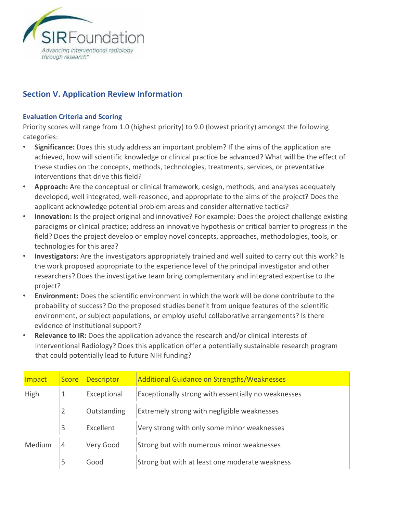

### **Section V. Application Review Information**

#### **Evaluation Criteria and Scoring**

Priority scores will range from 1.0 (highest priority) to 9.0 (lowest priority) amongst the following categories:

- **Significance:** Does this study address an important problem? If the aims of the application are achieved, how will scientific knowledge or clinical practice be advanced? What will be the effect of these studies on the concepts, methods, technologies, treatments, services, or preventative interventions that drive this field?
- **Approach:** Are the conceptual or clinical framework, design, methods, and analyses adequately developed, well integrated, well-reasoned, and appropriate to the aims of the project? Does the applicant acknowledge potential problem areas and consider alternative tactics?
- **Innovation:** Is the project original and innovative? For example: Does the project challenge existing paradigms or clinical practice; address an innovative hypothesis or critical barrier to progress in the field? Does the project develop or employ novel concepts, approaches, methodologies, tools, or technologies for this area?
- **Investigators:** Are the investigators appropriately trained and well suited to carry out this work? Is the work proposed appropriate to the experience level of the principal investigator and other researchers? Does the investigative team bring complementary and integrated expertise to the project?
- **Environment:** Does the scientific environment in which the work will be done contribute to the probability of success? Do the proposed studies benefit from unique features of the scientific environment, or subject populations, or employ useful collaborative arrangements? Is there evidence of institutional support?
- **Relevance to IR:** Does the application advance the research and/or clinical interests of Interventional Radiology? Does this application offer a potentially sustainable research program that could potentially lead to future NIH funding?

| Impact | <b>Score</b> | <b>Descriptor</b> | <b>Additional Guidance on Strengths/Weaknesses</b>  |
|--------|--------------|-------------------|-----------------------------------------------------|
| High   |              | Exceptional       | Exceptionally strong with essentially no weaknesses |
|        | 2            | Outstanding       | Extremely strong with negligible weaknesses         |
|        | 3            | Excellent         | Very strong with only some minor weaknesses         |
| Medium | 4            | Very Good         | Strong but with numerous minor weaknesses           |
|        | 5            | Good              | Strong but with at least one moderate weakness      |